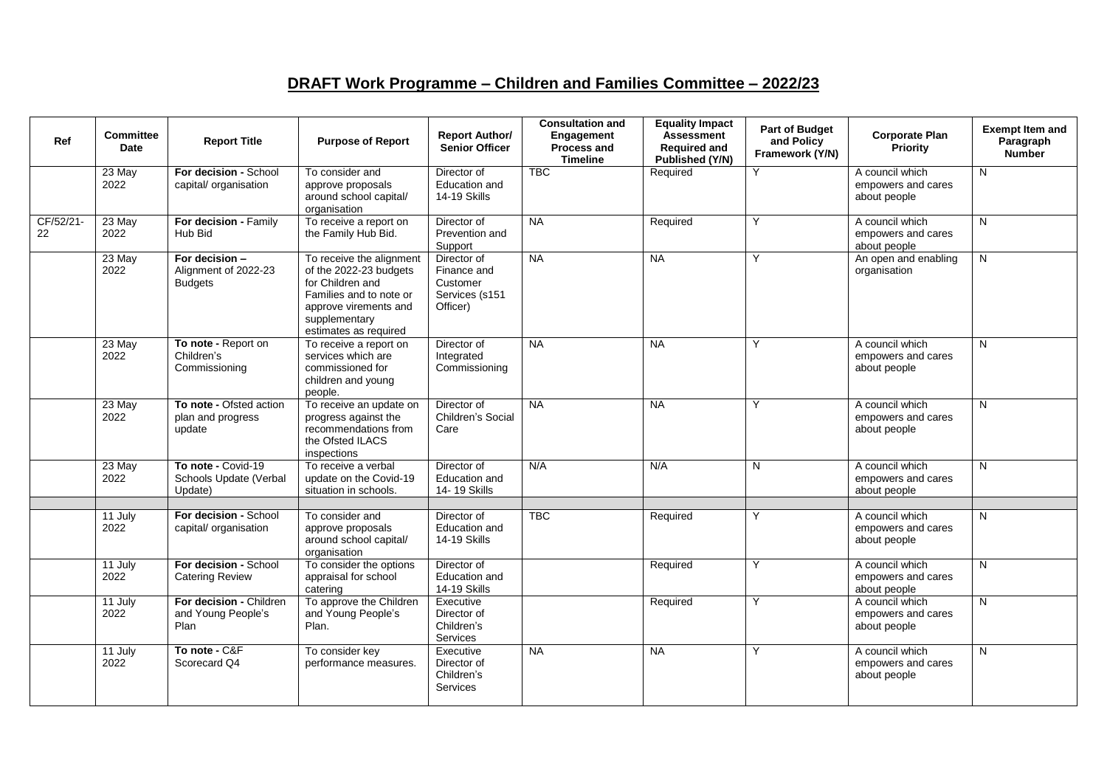## **DRAFT Work Programme – Children and Families Committee – 2022/23**

| Ref             | <b>Committee</b><br>Date | <b>Report Title</b>                                      | <b>Purpose of Report</b>                                                                                                                                             | <b>Report Author/</b><br><b>Senior Officer</b>                       | <b>Consultation and</b><br>Engagement<br>Process and<br><b>Timeline</b> | <b>Equality Impact</b><br><b>Assessment</b><br><b>Required and</b><br>Published (Y/N) | <b>Part of Budget</b><br>and Policy<br>Framework (Y/N) | <b>Corporate Plan</b><br>Priority                     | <b>Exempt Item and</b><br>Paragraph<br><b>Number</b> |
|-----------------|--------------------------|----------------------------------------------------------|----------------------------------------------------------------------------------------------------------------------------------------------------------------------|----------------------------------------------------------------------|-------------------------------------------------------------------------|---------------------------------------------------------------------------------------|--------------------------------------------------------|-------------------------------------------------------|------------------------------------------------------|
|                 | 23 May<br>2022           | For decision - School<br>capital/ organisation           | To consider and<br>approve proposals<br>around school capital/<br>organisation                                                                                       | Director of<br>Education and<br>14-19 Skills                         | <b>TBC</b>                                                              | Required                                                                              | Y                                                      | A council which<br>empowers and cares<br>about people | N                                                    |
| CF/52/21-<br>22 | 23 May<br>2022           | For decision - Family<br>Hub Bid                         | To receive a report on<br>the Family Hub Bid.                                                                                                                        | Director of<br>Prevention and<br>Support                             | <b>NA</b>                                                               | Required                                                                              | Y                                                      | A council which<br>empowers and cares<br>about people | N                                                    |
|                 | 23 May<br>2022           | For decision -<br>Alignment of 2022-23<br><b>Budgets</b> | To receive the alignment<br>of the 2022-23 budgets<br>for Children and<br>Families and to note or<br>approve virements and<br>supplementary<br>estimates as required | Director of<br>Finance and<br>Customer<br>Services (s151<br>Officer) | NA                                                                      | <b>NA</b>                                                                             | Y                                                      | An open and enabling<br>organisation                  | N                                                    |
|                 | 23 May<br>2022           | To note - Report on<br>Children's<br>Commissioning       | To receive a report on<br>services which are<br>commissioned for<br>children and young<br>people.                                                                    | Director of<br>Integrated<br>Commissioning                           | NA                                                                      | <b>NA</b>                                                                             | Y                                                      | A council which<br>empowers and cares<br>about people | N                                                    |
|                 | 23 May<br>2022           | To note - Ofsted action<br>plan and progress<br>update   | To receive an update on<br>progress against the<br>recommendations from<br>the Ofsted ILACS<br>inspections                                                           | Director of<br>Children's Social<br>Care                             | <b>NA</b>                                                               | <b>NA</b>                                                                             | Y                                                      | A council which<br>empowers and cares<br>about people | N                                                    |
|                 | 23 May<br>2022           | To note - Covid-19<br>Schools Update (Verbal<br>Update)  | To receive a verbal<br>update on the Covid-19<br>situation in schools.                                                                                               | Director of<br>Education and<br>14-19 Skills                         | N/A                                                                     | N/A                                                                                   | N                                                      | A council which<br>empowers and cares<br>about people | N                                                    |
|                 | 11 July<br>2022          | For decision - School<br>capital/ organisation           | To consider and<br>approve proposals<br>around school capital/<br>organisation                                                                                       | Director of<br>Education and<br>14-19 Skills                         | <b>TBC</b>                                                              | Required                                                                              |                                                        | A council which<br>empowers and cares<br>about people | N                                                    |
|                 | 11 July<br>2022          | For decision - School<br><b>Catering Review</b>          | To consider the options<br>appraisal for school<br>catering                                                                                                          | Director of<br>Education and<br>14-19 Skills                         |                                                                         | Required                                                                              | Y                                                      | A council which<br>empowers and cares<br>about people | N                                                    |
|                 | 11 July<br>2022          | For decision - Children<br>and Young People's<br>Plan    | To approve the Children<br>and Young People's<br>Plan.                                                                                                               | Executive<br>Director of<br>Children's<br>Services                   |                                                                         | Required                                                                              | Y                                                      | A council which<br>empowers and cares<br>about people | N                                                    |
|                 | 11 July<br>2022          | To note - C&F<br>Scorecard Q4                            | To consider key<br>performance measures.                                                                                                                             | Executive<br>Director of<br>Children's<br><b>Services</b>            | <b>NA</b>                                                               | <b>NA</b>                                                                             | Y                                                      | A council which<br>empowers and cares<br>about people | N                                                    |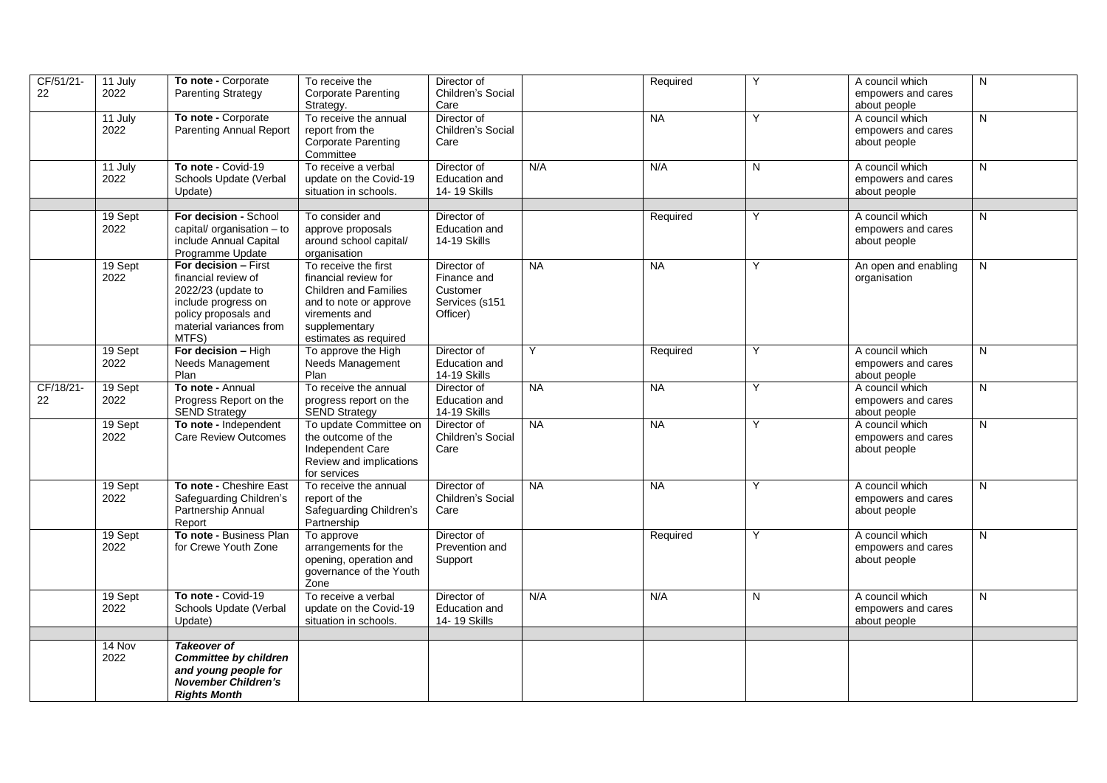| CF/51/21-<br>22 | 11 July<br>2022 | To note - Corporate<br><b>Parenting Strategy</b>                                                                                                     | To receive the<br><b>Corporate Parenting</b><br>Strategy.                                                                                                         | Director of<br>Children's Social<br>Care                             |           | Required  | Y | A council which<br>empowers and cares<br>about people | N |
|-----------------|-----------------|------------------------------------------------------------------------------------------------------------------------------------------------------|-------------------------------------------------------------------------------------------------------------------------------------------------------------------|----------------------------------------------------------------------|-----------|-----------|---|-------------------------------------------------------|---|
|                 | 11 July<br>2022 | To note - Corporate<br><b>Parenting Annual Report</b>                                                                                                | To receive the annual<br>report from the<br><b>Corporate Parenting</b><br>Committee                                                                               | Director of<br>Children's Social<br>Care                             |           | <b>NA</b> | Y | A council which<br>empowers and cares<br>about people | N |
|                 | 11 July<br>2022 | To note - Covid-19<br>Schools Update (Verbal<br>Update)                                                                                              | To receive a verbal<br>update on the Covid-19<br>situation in schools.                                                                                            | Director of<br>Education and<br>14-19 Skills                         | N/A       | N/A       | N | A council which<br>empowers and cares<br>about people | N |
|                 |                 |                                                                                                                                                      |                                                                                                                                                                   |                                                                      |           |           |   |                                                       |   |
|                 | 19 Sept<br>2022 | For decision - School<br>capital/ organisation - to<br>include Annual Capital<br>Programme Update                                                    | To consider and<br>approve proposals<br>around school capital/<br>organisation                                                                                    | Director of<br>Education and<br><b>14-19 Skills</b>                  |           | Required  | Y | A council which<br>empowers and cares<br>about people | N |
|                 | 19 Sept<br>2022 | For decision - First<br>financial review of<br>2022/23 (update to<br>include progress on<br>policy proposals and<br>material variances from<br>MTFS) | To receive the first<br>financial review for<br><b>Children and Families</b><br>and to note or approve<br>virements and<br>supplementary<br>estimates as required | Director of<br>Finance and<br>Customer<br>Services (s151<br>Officer) | <b>NA</b> | <b>NA</b> | Υ | An open and enabling<br>organisation                  | N |
|                 | 19 Sept<br>2022 | For decision - High<br>Needs Management<br>Plan                                                                                                      | To approve the High<br>Needs Management<br>Plan                                                                                                                   | Director of<br>Education and<br>14-19 Skills                         | Y         | Required  | Y | A council which<br>empowers and cares<br>about people | N |
| CF/18/21-<br>22 | 19 Sept<br>2022 | To note - Annual<br>Progress Report on the<br>SEND Strategy                                                                                          | To receive the annual<br>progress report on the<br>SEND Strategy                                                                                                  | Director of<br>Education and<br>14-19 Skills                         | <b>NA</b> | <b>NA</b> | Y | A council which<br>empowers and cares<br>about people | N |
|                 | 19 Sept<br>2022 | To note - Independent<br>Care Review Outcomes                                                                                                        | To update Committee on<br>the outcome of the<br>Independent Care<br>Review and implications<br>for services                                                       | Director of<br>Children's Social<br>Care                             | <b>NA</b> | <b>NA</b> | Υ | A council which<br>empowers and cares<br>about people | N |
|                 | 19 Sept<br>2022 | To note - Cheshire East<br>Safeguarding Children's<br>Partnership Annual<br>Report                                                                   | To receive the annual<br>report of the<br>Safeguarding Children's<br>Partnership                                                                                  | Director of<br>Children's Social<br>Care                             | <b>NA</b> | <b>NA</b> | Y | A council which<br>empowers and cares<br>about people | N |
|                 | 19 Sept<br>2022 | To note - Business Plan<br>for Crewe Youth Zone                                                                                                      | To approve<br>arrangements for the<br>opening, operation and<br>governance of the Youth<br>Zone                                                                   | Director of<br>Prevention and<br>Support                             |           | Required  | Y | A council which<br>empowers and cares<br>about people | N |
|                 | 19 Sept<br>2022 | To note - Covid-19<br>Schools Update (Verbal<br>Update)                                                                                              | To receive a verbal<br>update on the Covid-19<br>situation in schools.                                                                                            | Director of<br>Education and<br>14-19 Skills                         | N/A       | N/A       | N | A council which<br>empowers and cares<br>about people | N |
|                 | 14 Nov          | <b>Takeover of</b>                                                                                                                                   |                                                                                                                                                                   |                                                                      |           |           |   |                                                       |   |
|                 | 2022            | <b>Committee by children</b><br>and young people for<br><b>November Children's</b><br><b>Rights Month</b>                                            |                                                                                                                                                                   |                                                                      |           |           |   |                                                       |   |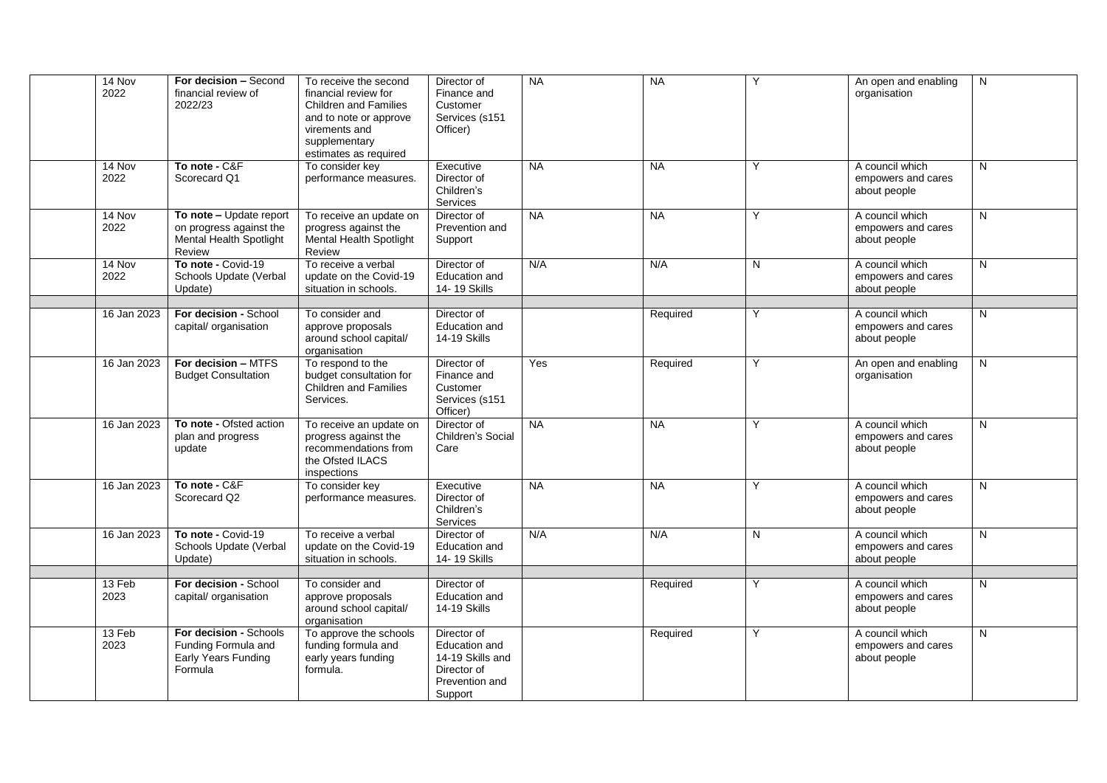| 14 Nov         | For decision - Second                              | To receive the second                                | Director of                      | <b>NA</b> | <b>NA</b> | Y | An open and enabling                  | N              |
|----------------|----------------------------------------------------|------------------------------------------------------|----------------------------------|-----------|-----------|---|---------------------------------------|----------------|
| 2022           | financial review of<br>2022/23                     | financial review for<br><b>Children and Families</b> | Finance and<br>Customer          |           |           |   | organisation                          |                |
|                |                                                    | and to note or approve                               | Services (s151                   |           |           |   |                                       |                |
|                |                                                    | virements and                                        | Officer)                         |           |           |   |                                       |                |
|                |                                                    | supplementary                                        |                                  |           |           |   |                                       |                |
|                |                                                    | estimates as required                                |                                  |           |           | Y |                                       |                |
| 14 Nov<br>2022 | To note - C&F<br>Scorecard Q1                      | To consider key<br>performance measures.             | Executive<br>Director of         | <b>NA</b> | <b>NA</b> |   | A council which<br>empowers and cares | N              |
|                |                                                    |                                                      | Children's                       |           |           |   | about people                          |                |
|                |                                                    |                                                      | Services                         |           |           |   |                                       |                |
| 14 Nov         | To note - Update report                            | To receive an update on                              | Director of                      | <b>NA</b> | <b>NA</b> | Y | A council which                       | N              |
| 2022           | on progress against the<br>Mental Health Spotlight | progress against the<br>Mental Health Spotlight      | Prevention and<br>Support        |           |           |   | empowers and cares<br>about people    |                |
|                | Review                                             | Review                                               |                                  |           |           |   |                                       |                |
| 14 Nov         | To note - Covid-19                                 | To receive a verbal                                  | Director of                      | N/A       | N/A       | N | A council which                       | N              |
| 2022           | Schools Update (Verbal                             | update on the Covid-19                               | <b>Education and</b>             |           |           |   | empowers and cares                    |                |
|                | Update)                                            | situation in schools.                                | 14-19 Skills                     |           |           |   | about people                          |                |
| 16 Jan 2023    | For decision - School                              | To consider and                                      | Director of                      |           | Required  | Υ | A council which                       | N              |
|                | capital/ organisation                              | approve proposals                                    | Education and                    |           |           |   | empowers and cares                    |                |
|                |                                                    | around school capital/                               | 14-19 Skills                     |           |           |   | about people                          |                |
| 16 Jan 2023    | For decision - MTFS                                | organisation<br>To respond to the                    | Director of                      | Yes       | Required  | Y | An open and enabling                  | $\overline{N}$ |
|                | <b>Budget Consultation</b>                         | budget consultation for                              | Finance and                      |           |           |   | organisation                          |                |
|                |                                                    | <b>Children and Families</b>                         | Customer                         |           |           |   |                                       |                |
|                |                                                    | Services.                                            | Services (s151                   |           |           |   |                                       |                |
|                | To note - Ofsted action                            |                                                      | Officer)                         | <b>NA</b> | <b>NA</b> | Y | A council which                       |                |
| 16 Jan 2023    | plan and progress                                  | To receive an update on<br>progress against the      | Director of<br>Children's Social |           |           |   | empowers and cares                    | $\mathsf{N}$   |
|                | update                                             | recommendations from                                 | Care                             |           |           |   | about people                          |                |
|                |                                                    | the Ofsted ILACS                                     |                                  |           |           |   |                                       |                |
|                | To note - C&F                                      | inspections<br>To consider key                       |                                  | <b>NA</b> | <b>NA</b> | Y | A council which                       | N              |
| 16 Jan 2023    | Scorecard Q2                                       | performance measures.                                | Executive<br>Director of         |           |           |   | empowers and cares                    |                |
|                |                                                    |                                                      | Children's                       |           |           |   | about people                          |                |
|                |                                                    |                                                      | Services                         |           |           |   |                                       |                |
| 16 Jan 2023    | To note - Covid-19<br>Schools Update (Verbal       | To receive a verbal<br>update on the Covid-19        | Director of<br>Education and     | N/A       | N/A       | N | A council which                       | N              |
|                | Update)                                            | situation in schools.                                | 14-19 Skills                     |           |           |   | empowers and cares<br>about people    |                |
|                |                                                    |                                                      |                                  |           |           |   |                                       |                |
| 13 Feb         | For decision - School                              | To consider and                                      | Director of                      |           | Required  | Y | A council which                       | N              |
| 2023           | capital/ organisation                              | approve proposals<br>around school capital/          | Education and<br>14-19 Skills    |           |           |   | empowers and cares                    |                |
|                |                                                    | organisation                                         |                                  |           |           |   | about people                          |                |
| 13 Feb         | For decision - Schools                             | To approve the schools                               | Director of                      |           | Required  | Y | A council which                       | N              |
| 2023           | Funding Formula and                                | funding formula and                                  | Education and                    |           |           |   | empowers and cares                    |                |
|                | Early Years Funding<br>Formula                     | early years funding<br>formula.                      | 14-19 Skills and<br>Director of  |           |           |   | about people                          |                |
|                |                                                    |                                                      | Prevention and                   |           |           |   |                                       |                |
|                |                                                    |                                                      | Support                          |           |           |   |                                       |                |